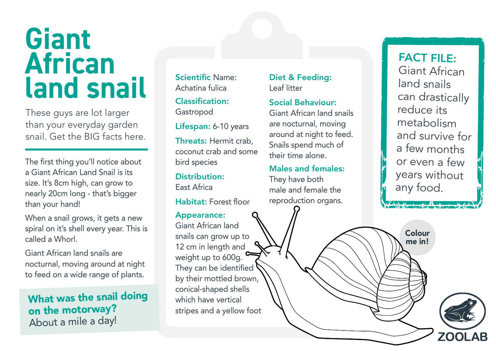## **Giant African land snail**

These guys are lot larger than your everyday garden snail. Get the BIG facts here.

The first thing you'll notice about a Giant African Land Snail is its size. It's 8cm high, can grow to nearly 20cm long - that's bigger than your hand!

When a snail grows, it gets a new spiral on it's shell every year. This is called a Whorl.

Giant African land snails are nocturnal, moving around at night to feed on a wide range of plants.

### What was the snail doing on the motorway? About a mile a day!

Scientific Name: Achatina fulica

Classification: Gastropod

Lifespan: 6-10 years

Threats: Hermit crab, coconut crab and some bird species

Distribution: East Africa

Habitat: Forest floor

Appearance: Giant African land snails can grow up to 12 cm in length and weight up to 600g. They can be identified by their mottled brown, conical-shaped shells which have vertical stripes and a yellow foot

Diet & Feeding: Leaf litter

Social Behaviour:

Giant African land snails are nocturnal, moving around at night to feed. Snails spend much of their time alone.

#### Males and females:

They have both male and female the reproduction organs.

FACT FILE: Giant African land snails can drastically reduce its metabolism and survive for a few months or even a few years without any food.

Colour me in!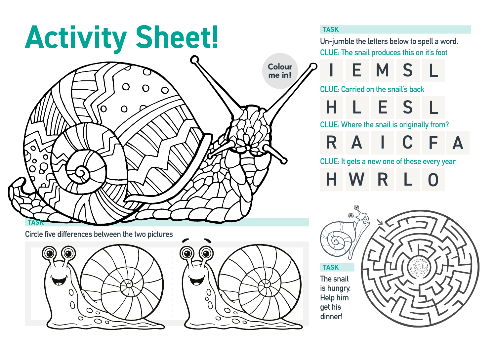# Activity Sheet!



**Circle five differences between the two pictures**





**Un-jumble the letters below to spell a word. CLUE: The snail produces this on it's foot**

E M S L

**CLUE: Carried on the snail's back** H L E S L

**CLUE: Where the snail is originally from?**

R A I C F A

**CLUE: It gets a new one of these every year**

R L